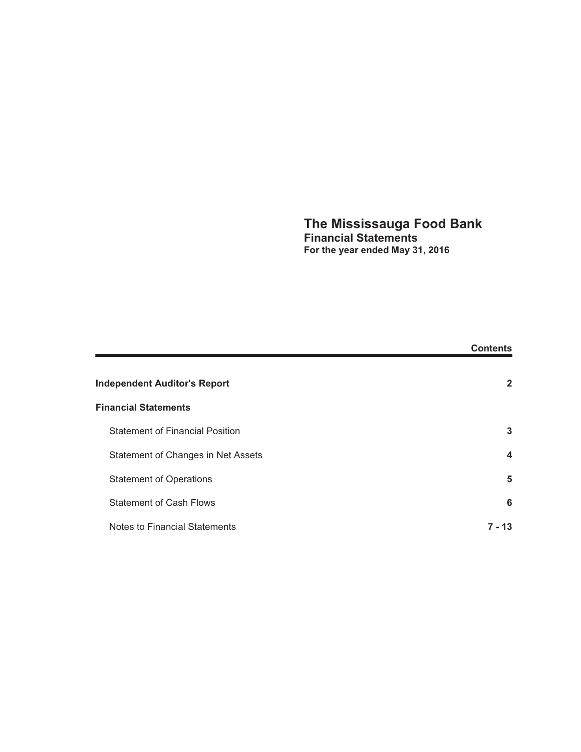## **The Mississauga Food Bank Financial Statements For the year ended May 31, 2016**

|                                        | <b>Contents</b>         |
|----------------------------------------|-------------------------|
| <b>Independent Auditor's Report</b>    | $\mathbf{2}$            |
| <b>Financial Statements</b>            |                         |
| <b>Statement of Financial Position</b> | 3                       |
| Statement of Changes in Net Assets     | $\overline{\mathbf{4}}$ |
| <b>Statement of Operations</b>         | 5                       |
| <b>Statement of Cash Flows</b>         | 6                       |
| Notes to Financial Statements          | 7 - 13                  |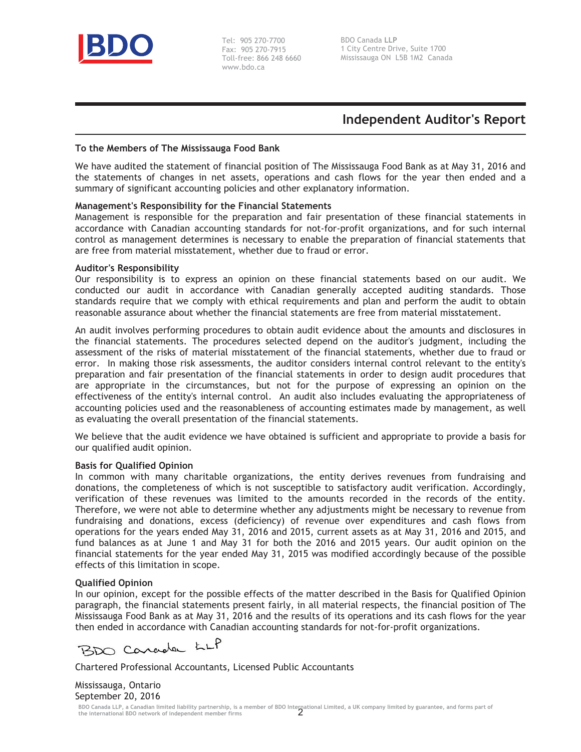

Tel: 905 270-7700 Fax: 905 270-7915 Toll-free: 866 248 6660 www.bdo.ca

## **Independent Auditor's Report**

## **To the Members of The Mississauga Food Bank**

We have audited the statement of financial position of The Mississauga Food Bank as at May 31, 2016 and the statements of changes in net assets, operations and cash flows for the year then ended and a summary of significant accounting policies and other explanatory information.

#### **Management's Responsibility for the Financial Statements**

Management is responsible for the preparation and fair presentation of these financial statements in accordance with Canadian accounting standards for not-for-profit organizations, and for such internal control as management determines is necessary to enable the preparation of financial statements that are free from material misstatement, whether due to fraud or error.

#### **Auditor's Responsibility**

Our responsibility is to express an opinion on these financial statements based on our audit. We conducted our audit in accordance with Canadian generally accepted auditing standards. Those standards require that we comply with ethical requirements and plan and perform the audit to obtain reasonable assurance about whether the financial statements are free from material misstatement.

An audit involves performing procedures to obtain audit evidence about the amounts and disclosures in the financial statements. The procedures selected depend on the auditor's judgment, including the assessment of the risks of material misstatement of the financial statements, whether due to fraud or error. In making those risk assessments, the auditor considers internal control relevant to the entity's preparation and fair presentation of the financial statements in order to design audit procedures that are appropriate in the circumstances, but not for the purpose of expressing an opinion on the effectiveness of the entity's internal control. An audit also includes evaluating the appropriateness of accounting policies used and the reasonableness of accounting estimates made by management, as well as evaluating the overall presentation of the financial statements.

We believe that the audit evidence we have obtained is sufficient and appropriate to provide a basis for our qualified audit opinion.

#### **Basis for Qualified Opinion**

In common with many charitable organizations, the entity derives revenues from fundraising and donations, the completeness of which is not susceptible to satisfactory audit verification. Accordingly, verification of these revenues was limited to the amounts recorded in the records of the entity. Therefore, we were not able to determine whether any adjustments might be necessary to revenue from fundraising and donations, excess (deficiency) of revenue over expenditures and cash flows from operations for the years ended May 31, 2016 and 2015, current assets as at May 31, 2016 and 2015, and fund balances as at June 1 and May 31 for both the 2016 and 2015 years. Our audit opinion on the financial statements for the year ended May 31, 2015 was modified accordingly because of the possible effects of this limitation in scope.

#### **Qualified Opinion**

In our opinion, except for the possible effects of the matter described in the Basis for Qualified Opinion paragraph, the financial statements present fairly, in all material respects, the financial position of The Mississauga Food Bank as at May 31, 2016 and the results of its operations and its cash flows for the year then ended in accordance with Canadian accounting standards for not-for-profit organizations.

BDO Carada LLP

Chartered Professional Accountants, Licensed Public Accountants

Mississauga, Ontario September 20, 2016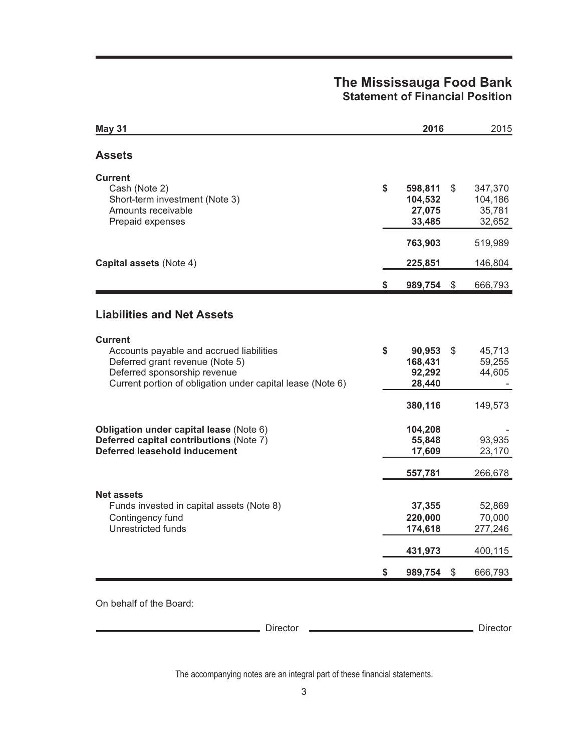## **The Mississauga Food Bank Statement of Financial Position**

| <b>May 31</b>                                                                                                                                                                               |    | 2016                                   |       | 2015                                   |
|---------------------------------------------------------------------------------------------------------------------------------------------------------------------------------------------|----|----------------------------------------|-------|----------------------------------------|
| <b>Assets</b>                                                                                                                                                                               |    |                                        |       |                                        |
| <b>Current</b><br>Cash (Note 2)<br>Short-term investment (Note 3)<br>Amounts receivable<br>Prepaid expenses                                                                                 | \$ | 598,811<br>104,532<br>27,075<br>33,485 | \$    | 347,370<br>104,186<br>35,781<br>32,652 |
|                                                                                                                                                                                             |    | 763,903                                |       | 519,989                                |
| Capital assets (Note 4)                                                                                                                                                                     |    | 225,851                                |       | 146,804                                |
|                                                                                                                                                                                             | S  | 989,754                                | \$    | 666,793                                |
| <b>Liabilities and Net Assets</b>                                                                                                                                                           |    |                                        |       |                                        |
| <b>Current</b><br>Accounts payable and accrued liabilities<br>Deferred grant revenue (Note 5)<br>Deferred sponsorship revenue<br>Current portion of obligation under capital lease (Note 6) | \$ | 90,953<br>168,431<br>92,292<br>28,440  | S     | 45,713<br>59,255<br>44,605             |
|                                                                                                                                                                                             |    | 380,116                                |       | 149,573                                |
| <b>Obligation under capital lease (Note 6)</b><br>Deferred capital contributions (Note 7)<br>Deferred leasehold inducement                                                                  |    | 104,208<br>55,848<br>17,609            |       | 93,935<br>23,170                       |
|                                                                                                                                                                                             |    | 557,781                                |       | 266,678                                |
| <b>Net assets</b><br>Funds invested in capital assets (Note 8)<br>Contingency fund<br>Unrestricted funds                                                                                    |    | 37,355<br>220,000<br>174,618           |       | 52,869<br>70,000<br>277,246            |
|                                                                                                                                                                                             |    | 431,973                                |       | 400,115                                |
|                                                                                                                                                                                             | \$ | 989,754                                | $\$\$ | 666,793                                |

Director **Director** Director **Director** Director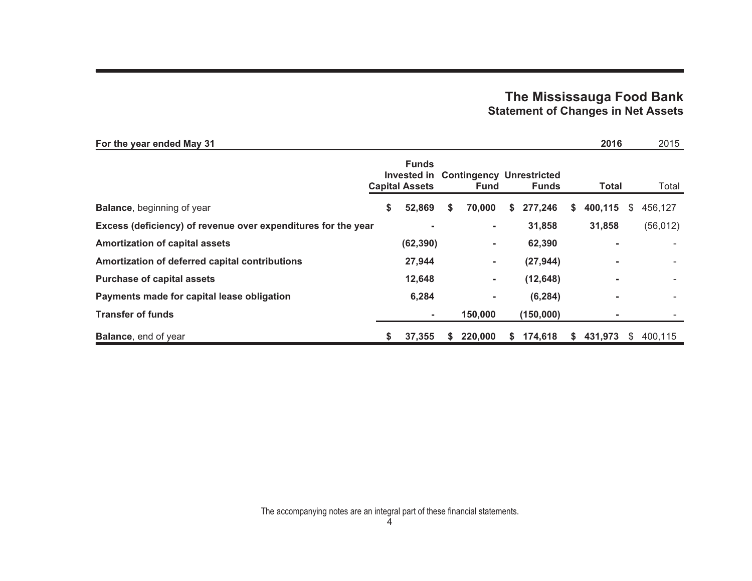## **The Mississauga Food Bank Statement of Changes in Net Assets**

| For the year ended May 31                                     |    |                                       |    |                                                            |    |              |    | 2016    |    | 2015      |
|---------------------------------------------------------------|----|---------------------------------------|----|------------------------------------------------------------|----|--------------|----|---------|----|-----------|
|                                                               |    | <b>Funds</b><br><b>Capital Assets</b> |    | <b>Invested in Contingency Unrestricted</b><br><b>Fund</b> |    | <b>Funds</b> |    | Total   |    | Total     |
| <b>Balance, beginning of year</b>                             | \$ | 52,869                                | S  | 70,000                                                     | S. | 277,246      | S. | 400,115 | S. | 456,127   |
| Excess (deficiency) of revenue over expenditures for the year |    |                                       |    | ж.                                                         |    | 31,858       |    | 31,858  |    | (56, 012) |
| <b>Amortization of capital assets</b>                         |    | (62, 390)                             |    | ۰.                                                         |    | 62,390       |    |         |    |           |
| Amortization of deferred capital contributions                |    | 27,944                                |    | ж.                                                         |    | (27, 944)    |    | ۰       |    |           |
| <b>Purchase of capital assets</b>                             |    | 12,648                                |    | ж.                                                         |    | (12, 648)    |    |         |    |           |
| Payments made for capital lease obligation                    |    | 6,284                                 |    | ۰.                                                         |    | (6, 284)     |    | ٠       |    |           |
| <b>Transfer of funds</b>                                      |    | ٠                                     |    | 150,000                                                    |    | (150,000)    |    | ٠       |    |           |
| <b>Balance, end of year</b>                                   | S  | 37,355                                | S. | 220,000                                                    | S. | 174,618      | S. | 431,973 | S. | 400.115   |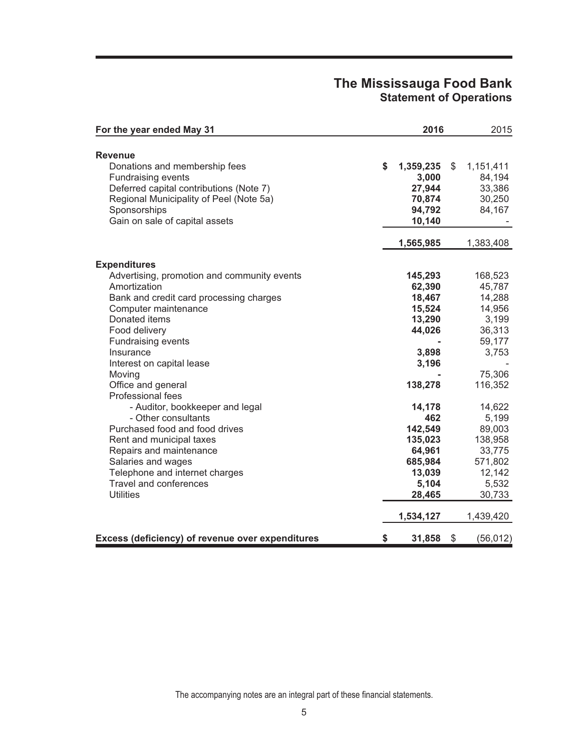## **The Mississauga Food Bank Statement of Operations**

| For the year ended May 31                                                                                                                                                                                                                                                                                                       | 2016                                                                                             | 2015                                                                                                       |  |
|---------------------------------------------------------------------------------------------------------------------------------------------------------------------------------------------------------------------------------------------------------------------------------------------------------------------------------|--------------------------------------------------------------------------------------------------|------------------------------------------------------------------------------------------------------------|--|
| <b>Revenue</b>                                                                                                                                                                                                                                                                                                                  |                                                                                                  |                                                                                                            |  |
| Donations and membership fees<br><b>Fundraising events</b><br>Deferred capital contributions (Note 7)<br>Regional Municipality of Peel (Note 5a)<br>Sponsorships<br>Gain on sale of capital assets                                                                                                                              | \$<br>1,359,235<br>3,000<br>27,944<br>70,874<br>94,792<br>10,140                                 | \$<br>1,151,411<br>84,194<br>33,386<br>30,250<br>84,167                                                    |  |
|                                                                                                                                                                                                                                                                                                                                 | 1,565,985                                                                                        | 1,383,408                                                                                                  |  |
| <b>Expenditures</b>                                                                                                                                                                                                                                                                                                             |                                                                                                  |                                                                                                            |  |
| Advertising, promotion and community events<br>Amortization<br>Bank and credit card processing charges<br>Computer maintenance<br>Donated items<br>Food delivery<br><b>Fundraising events</b><br>Insurance<br>Interest on capital lease<br>Moving<br>Office and general<br>Professional fees<br>- Auditor, bookkeeper and legal | 145,293<br>62,390<br>18,467<br>15,524<br>13,290<br>44,026<br>3,898<br>3,196<br>138,278<br>14,178 | 168,523<br>45,787<br>14,288<br>14,956<br>3,199<br>36,313<br>59,177<br>3,753<br>75,306<br>116,352<br>14,622 |  |
| - Other consultants<br>Purchased food and food drives<br>Rent and municipal taxes<br>Repairs and maintenance<br>Salaries and wages<br>Telephone and internet charges<br>Travel and conferences<br><b>Utilities</b>                                                                                                              | 462<br>142,549<br>135,023<br>64,961<br>685,984<br>13,039<br>5,104<br>28,465                      | 5,199<br>89,003<br>138,958<br>33,775<br>571,802<br>12,142<br>5,532<br>30,733                               |  |
|                                                                                                                                                                                                                                                                                                                                 | 1,534,127                                                                                        | 1,439,420                                                                                                  |  |
| <b>Excess (deficiency) of revenue over expenditures</b>                                                                                                                                                                                                                                                                         | \$<br>31,858                                                                                     | \$<br>(56, 012)                                                                                            |  |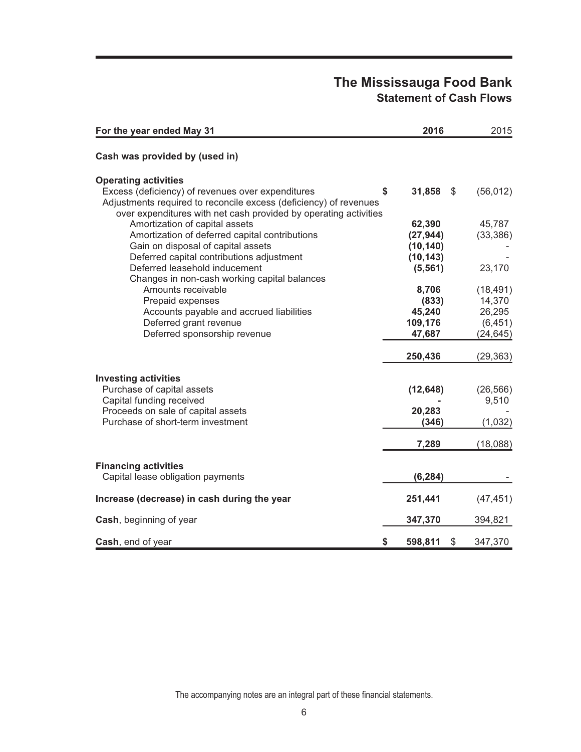# **The Mississauga Food Bank Statement of Cash Flows**

| For the year ended May 31                                                                                                                                                                  | 2016                 | 2015      |
|--------------------------------------------------------------------------------------------------------------------------------------------------------------------------------------------|----------------------|-----------|
| Cash was provided by (used in)                                                                                                                                                             |                      |           |
| <b>Operating activities</b>                                                                                                                                                                |                      |           |
| Excess (deficiency) of revenues over expenditures<br>Adjustments required to reconcile excess (deficiency) of revenues<br>over expenditures with net cash provided by operating activities | \$<br>31,858<br>- \$ | (56, 012) |
| Amortization of capital assets                                                                                                                                                             | 62,390               | 45,787    |
| Amortization of deferred capital contributions                                                                                                                                             | (27, 944)            | (33, 386) |
| Gain on disposal of capital assets                                                                                                                                                         | (10, 140)            |           |
| Deferred capital contributions adjustment                                                                                                                                                  | (10, 143)            |           |
| Deferred leasehold inducement                                                                                                                                                              | (5, 561)             | 23,170    |
| Changes in non-cash working capital balances                                                                                                                                               |                      |           |
| Amounts receivable                                                                                                                                                                         | 8,706                | (18, 491) |
| Prepaid expenses                                                                                                                                                                           | (833)                | 14,370    |
| Accounts payable and accrued liabilities                                                                                                                                                   | 45,240               | 26,295    |
| Deferred grant revenue                                                                                                                                                                     | 109,176              | (6, 451)  |
| Deferred sponsorship revenue                                                                                                                                                               | 47,687               | (24, 645) |
|                                                                                                                                                                                            | 250,436              | (29, 363) |
|                                                                                                                                                                                            |                      |           |
| <b>Investing activities</b>                                                                                                                                                                |                      |           |
| Purchase of capital assets                                                                                                                                                                 | (12, 648)            | (26, 566) |
| Capital funding received                                                                                                                                                                   |                      | 9,510     |
| Proceeds on sale of capital assets                                                                                                                                                         | 20,283               |           |
| Purchase of short-term investment                                                                                                                                                          | (346)                | (1,032)   |
|                                                                                                                                                                                            | 7,289                | (18,088)  |
|                                                                                                                                                                                            |                      |           |
| <b>Financing activities</b>                                                                                                                                                                |                      |           |
| Capital lease obligation payments                                                                                                                                                          | (6, 284)             |           |
| Increase (decrease) in cash during the year                                                                                                                                                | 251,441              | (47, 451) |
| Cash, beginning of year                                                                                                                                                                    | 347,370              | 394,821   |
| Cash, end of year                                                                                                                                                                          | \$<br>598,811<br>\$  | 347,370   |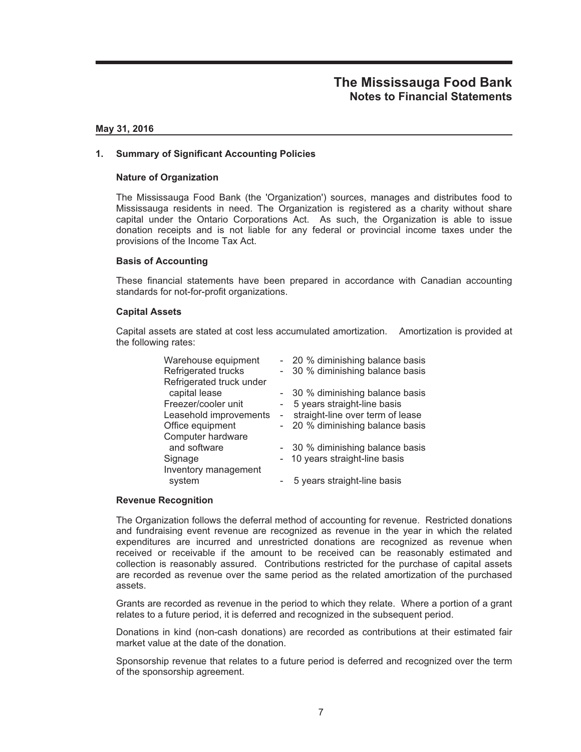#### **May 31, 2016**

### **1. Summary of Significant Accounting Policies**

#### **Nature of Organization**

The Mississauga Food Bank (the 'Organization') sources, manages and distributes food to Mississauga residents in need. The Organization is registered as a charity without share capital under the Ontario Corporations Act. As such, the Organization is able to issue donation receipts and is not liable for any federal or provincial income taxes under the provisions of the Income Tax Act.

#### **Basis of Accounting**

These financial statements have been prepared in accordance with Canadian accounting standards for not-for-profit organizations.

#### **Capital Assets**

Capital assets are stated at cost less accumulated amortization. Amortization is provided at the following rates:

| Warehouse equipment      |        | - 20 % diminishing balance basis |
|--------------------------|--------|----------------------------------|
| Refrigerated trucks      |        | - 30 % diminishing balance basis |
| Refrigerated truck under |        |                                  |
| capital lease            |        | - 30 % diminishing balance basis |
| Freezer/cooler unit      |        | 5 years straight-line basis      |
| Leasehold improvements   | $\sim$ | straight-line over term of lease |
| Office equipment         |        | - 20 % diminishing balance basis |
| Computer hardware        |        |                                  |
| and software             |        | - 30 % diminishing balance basis |
| Signage                  |        | 10 years straight-line basis     |
| Inventory management     |        |                                  |
| system                   |        | 5 years straight-line basis      |

#### **Revenue Recognition**

The Organization follows the deferral method of accounting for revenue. Restricted donations and fundraising event revenue are recognized as revenue in the year in which the related expenditures are incurred and unrestricted donations are recognized as revenue when received or receivable if the amount to be received can be reasonably estimated and collection is reasonably assured. Contributions restricted for the purchase of capital assets are recorded as revenue over the same period as the related amortization of the purchased assets.

Grants are recorded as revenue in the period to which they relate. Where a portion of a grant relates to a future period, it is deferred and recognized in the subsequent period.

Donations in kind (non-cash donations) are recorded as contributions at their estimated fair market value at the date of the donation.

Sponsorship revenue that relates to a future period is deferred and recognized over the term of the sponsorship agreement.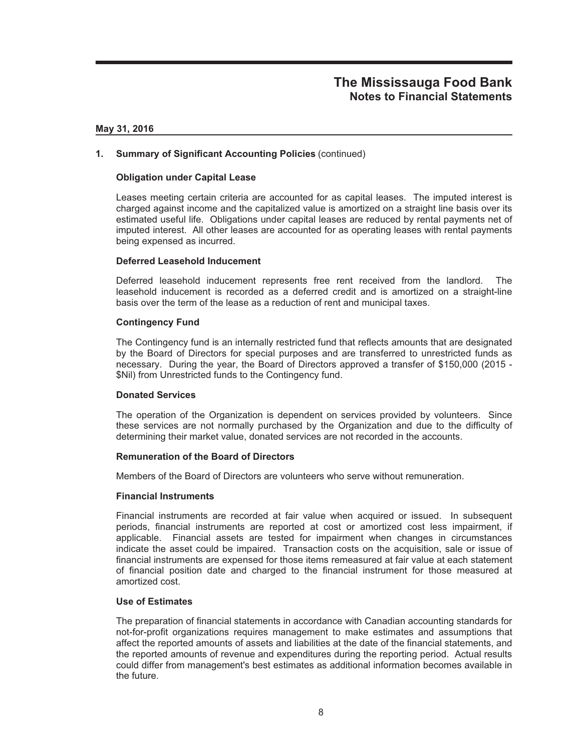### **May 31, 2016**

### **1. Summary of Significant Accounting Policies** (continued)

### **Obligation under Capital Lease**

Leases meeting certain criteria are accounted for as capital leases. The imputed interest is charged against income and the capitalized value is amortized on a straight line basis over its estimated useful life. Obligations under capital leases are reduced by rental payments net of imputed interest. All other leases are accounted for as operating leases with rental payments being expensed as incurred.

#### **Deferred Leasehold Inducement**

Deferred leasehold inducement represents free rent received from the landlord. The leasehold inducement is recorded as a deferred credit and is amortized on a straight-line basis over the term of the lease as a reduction of rent and municipal taxes.

#### **Contingency Fund**

The Contingency fund is an internally restricted fund that reflects amounts that are designated by the Board of Directors for special purposes and are transferred to unrestricted funds as necessary. During the year, the Board of Directors approved a transfer of \$150,000 (2015 - \$Nil) from Unrestricted funds to the Contingency fund.

### **Donated Services**

The operation of the Organization is dependent on services provided by volunteers. Since these services are not normally purchased by the Organization and due to the difficulty of determining their market value, donated services are not recorded in the accounts.

### **Remuneration of the Board of Directors**

Members of the Board of Directors are volunteers who serve without remuneration.

#### **Financial Instruments**

Financial instruments are recorded at fair value when acquired or issued. In subsequent periods, financial instruments are reported at cost or amortized cost less impairment, if applicable. Financial assets are tested for impairment when changes in circumstances indicate the asset could be impaired. Transaction costs on the acquisition, sale or issue of financial instruments are expensed for those items remeasured at fair value at each statement of financial position date and charged to the financial instrument for those measured at amortized cost.

## **Use of Estimates**

The preparation of financial statements in accordance with Canadian accounting standards for not-for-profit organizations requires management to make estimates and assumptions that affect the reported amounts of assets and liabilities at the date of the financial statements, and the reported amounts of revenue and expenditures during the reporting period. Actual results could differ from management's best estimates as additional information becomes available in the future.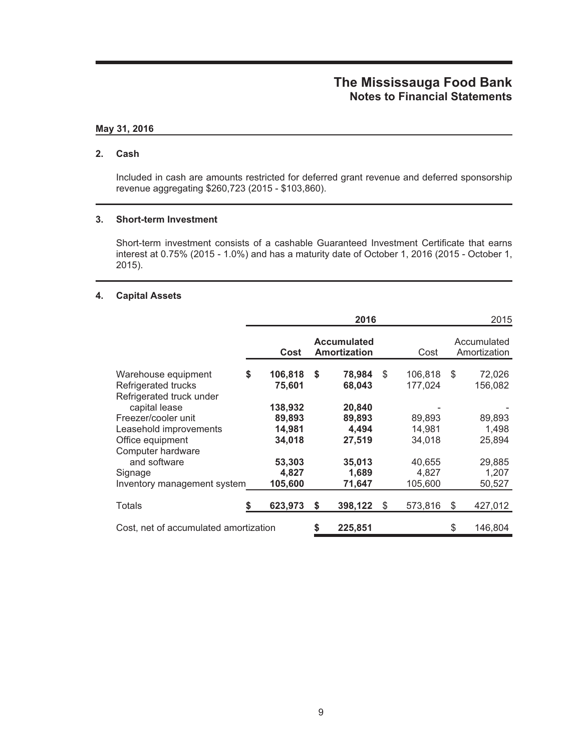## **May 31, 2016**

#### **2. Cash**

Included in cash are amounts restricted for deferred grant revenue and deferred sponsorship revenue aggregating \$260,723 (2015 - \$103,860).

## **3. Short-term Investment**

Short-term investment consists of a cashable Guaranteed Investment Certificate that earns interest at 0.75% (2015 - 1.0%) and has a maturity date of October 1, 2016 (2015 - October 1, 2015).

## **4. Capital Assets**

|                                                                        |   |                   |    | 2016                                      |    |                    | 2015                        |
|------------------------------------------------------------------------|---|-------------------|----|-------------------------------------------|----|--------------------|-----------------------------|
|                                                                        |   | Cost              |    | <b>Accumulated</b><br><b>Amortization</b> |    | Cost               | Accumulated<br>Amortization |
| Warehouse equipment<br>Refrigerated trucks<br>Refrigerated truck under | S | 106,818<br>75,601 | \$ | 78,984<br>68,043                          | \$ | 106,818<br>177,024 | \$<br>72,026<br>156,082     |
| capital lease                                                          |   | 138,932           |    | 20,840                                    |    |                    |                             |
| Freezer/cooler unit                                                    |   | 89,893            |    | 89,893                                    |    | 89,893             | 89,893                      |
| Leasehold improvements                                                 |   | 14,981            |    | 4,494                                     |    | 14,981             | 1,498                       |
| Office equipment                                                       |   | 34,018            |    | 27,519                                    |    | 34,018             | 25,894                      |
| Computer hardware                                                      |   |                   |    |                                           |    |                    |                             |
| and software                                                           |   | 53,303            |    | 35,013                                    |    | 40,655             | 29,885                      |
| Signage                                                                |   | 4.827             |    | 1.689                                     |    | 4,827              | 1.207                       |
| Inventory management system                                            |   | 105,600           |    | 71,647                                    |    | 105,600            | 50,527                      |
| Totals                                                                 |   | 623,973           | S  | 398,122                                   | -S | 573,816            | \$<br>427,012               |
| Cost, net of accumulated amortization                                  |   |                   | \$ | 225,851                                   |    |                    | \$<br>146,804               |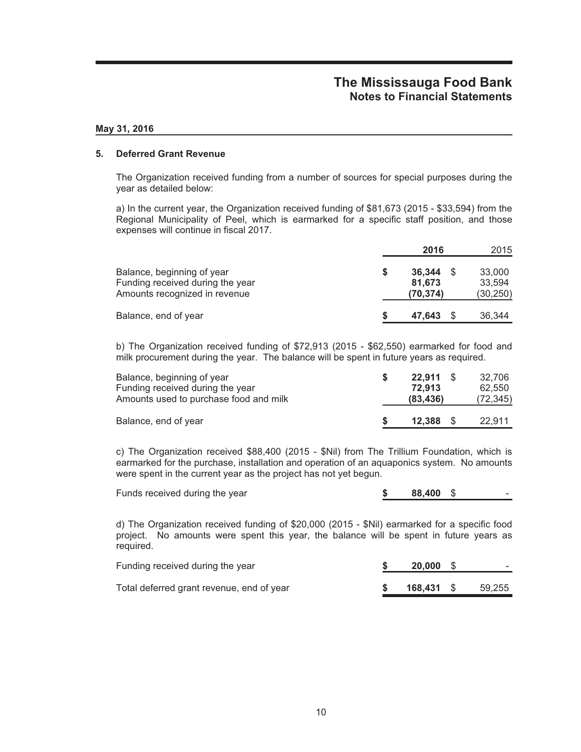### **May 31, 2016**

### **5. Deferred Grant Revenue**

The Organization received funding from a number of sources for special purposes during the year as detailed below:

a) In the current year, the Organization received funding of \$81,673 (2015 - \$33,594) from the Regional Municipality of Peel, which is earmarked for a specific staff position, and those expenses will continue in fiscal 2017.

|                                                                                                 | 2016                          | 2015                          |
|-------------------------------------------------------------------------------------------------|-------------------------------|-------------------------------|
| Balance, beginning of year<br>Funding received during the year<br>Amounts recognized in revenue | 36,344<br>81.673<br>(70, 374) | 33,000<br>33.594<br>(30, 250) |
| Balance, end of year                                                                            | 47.643                        | 36,344                        |

b) The Organization received funding of \$72,913 (2015 - \$62,550) earmarked for food and milk procurement during the year. The balance will be spent in future years as required.

| Balance, beginning of year<br>Funding received during the year<br>Amounts used to purchase food and milk | <b>22,911</b> \$<br>72.913<br>(83, 436) | 32.706<br>62.550<br>(72, 345) |
|----------------------------------------------------------------------------------------------------------|-----------------------------------------|-------------------------------|
| Balance, end of year                                                                                     | $12.388$ \$                             | 22.911                        |

c) The Organization received \$88,400 (2015 - \$Nil) from The Trillium Foundation, which is earmarked for the purchase, installation and operation of an aquaponics system. No amounts were spent in the current year as the project has not yet begun.

| Funds received during the year | 88,400 \$ |  |
|--------------------------------|-----------|--|
|                                |           |  |

d) The Organization received funding of \$20,000 (2015 - \$Nil) earmarked for a specific food project. No amounts were spent this year, the balance will be spent in future years as required.

| Funding received during the year          | $20,000$ \$ | $\sim$ |
|-------------------------------------------|-------------|--------|
| Total deferred grant revenue, end of year | 168,431 \$  | 59.255 |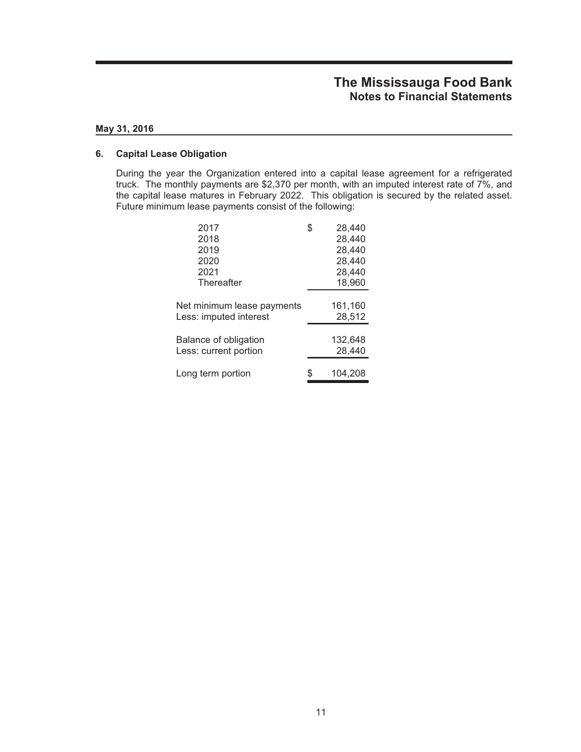## **May 31, 2016**

### **6. Capital Lease Obligation**

During the year the Organization entered into a capital lease agreement for a refrigerated truck. The monthly payments are \$2,370 per month, with an imputed interest rate of 7%, and the capital lease matures in February 2022. This obligation is secured by the related asset. Future minimum lease payments consist of the following:

| 2017                       | \$<br>28,440 |
|----------------------------|--------------|
| 2018                       | 28,440       |
| 2019                       | 28,440       |
| 2020                       | 28,440       |
| 2021                       | 28,440       |
| Thereafter                 | 18,960       |
|                            |              |
| Net minimum lease payments | 161,160      |
| Less: imputed interest     | 28,512       |
|                            |              |
| Balance of obligation      | 132,648      |
| Less: current portion      | 28,440       |
|                            |              |
| Long term portion          | 104.208      |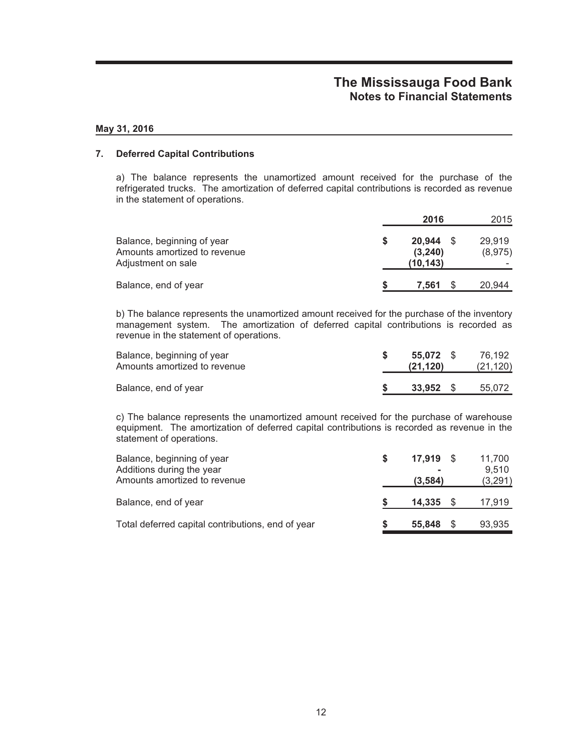### **May 31, 2016**

### **7. Deferred Capital Contributions**

a) The balance represents the unamortized amount received for the purchase of the refrigerated trucks. The amortization of deferred capital contributions is recorded as revenue in the statement of operations.

|                                                                                  | 2016                           | 2015              |
|----------------------------------------------------------------------------------|--------------------------------|-------------------|
| Balance, beginning of year<br>Amounts amortized to revenue<br>Adjustment on sale | 20.944<br>(3,240)<br>(10, 143) | 29.919<br>(8,975) |
| Balance, end of year                                                             | 7.561                          | 20.944            |

b) The balance represents the unamortized amount received for the purchase of the inventory management system. The amortization of deferred capital contributions is recorded as revenue in the statement of operations.

| Balance, beginning of year<br>Amounts amortized to revenue | 55.072 \$<br>(21.120) | 76.192<br>(21, 120) |
|------------------------------------------------------------|-----------------------|---------------------|
| Balance, end of year                                       | 33.952 \$             | 55.072              |

c) The balance represents the unamortized amount received for the purchase of warehouse equipment. The amortization of deferred capital contributions is recorded as revenue in the statement of operations.

| Balance, beginning of year<br>Additions during the year<br>Amounts amortized to revenue | 17.919<br>(3,584) | 11.700<br>9.510<br>(3,291) |
|-----------------------------------------------------------------------------------------|-------------------|----------------------------|
| Balance, end of year                                                                    | 14.335            | 17,919                     |
| Total deferred capital contributions, end of year                                       | 55,848            | 93,935                     |